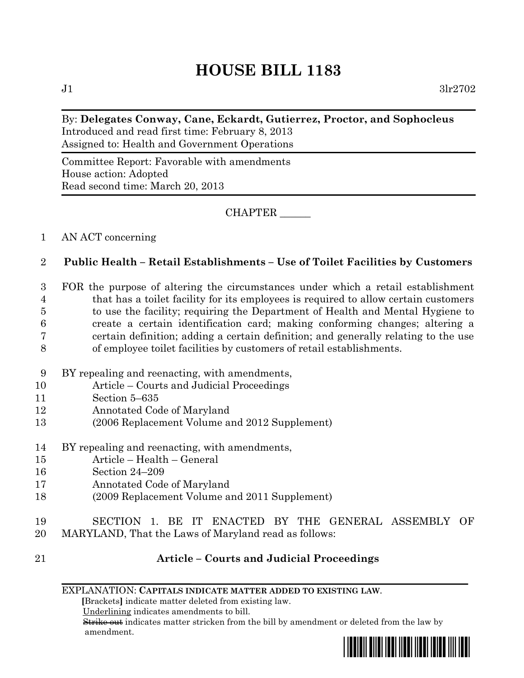# **HOUSE BILL 1183**

 $J1$   $3lr2702$ 

#### By: **Delegates Conway, Cane, Eckardt, Gutierrez, Proctor, and Sophocleus** Introduced and read first time: February 8, 2013 Assigned to: Health and Government Operations

Committee Report: Favorable with amendments House action: Adopted Read second time: March 20, 2013

CHAPTER \_\_\_\_\_\_

### 1 AN ACT concerning

## 2 **Public Health – Retail Establishments – Use of Toilet Facilities by Customers**

 FOR the purpose of altering the circumstances under which a retail establishment that has a toilet facility for its employees is required to allow certain customers to use the facility; requiring the Department of Health and Mental Hygiene to create a certain identification card; making conforming changes; altering a certain definition; adding a certain definition; and generally relating to the use of employee toilet facilities by customers of retail establishments.

- 9 BY repealing and reenacting, with amendments,
- 10 Article Courts and Judicial Proceedings
- 11 Section 5–635
- 12 Annotated Code of Maryland
- 13 (2006 Replacement Volume and 2012 Supplement)
- 14 BY repealing and reenacting, with amendments,
- 15 Article Health General
- 16 Section 24–209
- 17 Annotated Code of Maryland
- 18 (2009 Replacement Volume and 2011 Supplement)
- 19 SECTION 1. BE IT ENACTED BY THE GENERAL ASSEMBLY OF
- 20 MARYLAND, That the Laws of Maryland read as follows:
- 

## 21 **Article – Courts and Judicial Proceedings**

EXPLANATION: **CAPITALS INDICATE MATTER ADDED TO EXISTING LAW**.

 **[**Brackets**]** indicate matter deleted from existing law.

Underlining indicates amendments to bill.

 Strike out indicates matter stricken from the bill by amendment or deleted from the law by amendment.

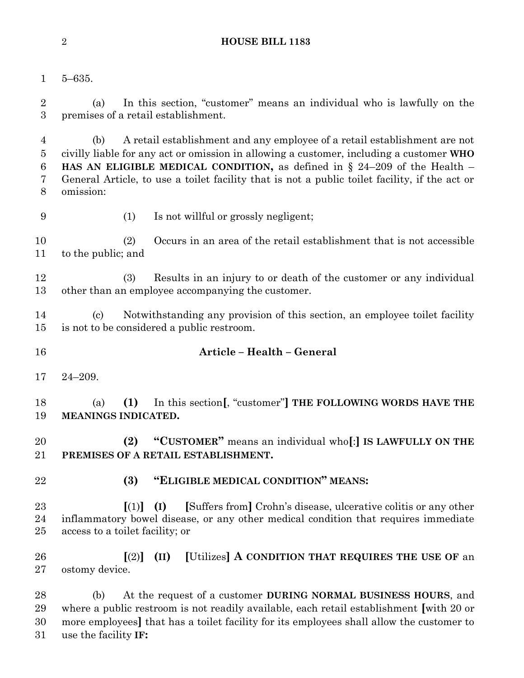#### **HOUSE BILL 1183**

- 
- 5–635.

 (a) In this section, "customer" means an individual who is lawfully on the premises of a retail establishment.

 (b) A retail establishment and any employee of a retail establishment are not civilly liable for any act or omission in allowing a customer, including a customer **WHO HAS AN ELIGIBLE MEDICAL CONDITION,** as defined in § 24–209 of the Health – General Article, to use a toilet facility that is not a public toilet facility, if the act or omission:

- 
- (1) Is not willful or grossly negligent;

 (2) Occurs in an area of the retail establishment that is not accessible to the public; and

 (3) Results in an injury to or death of the customer or any individual other than an employee accompanying the customer.

 (c) Notwithstanding any provision of this section, an employee toilet facility is not to be considered a public restroom.

- **Article – Health – General**
- 24–209.

 (a) **(1)** In this section**[**, "customer"**] THE FOLLOWING WORDS HAVE THE MEANINGS INDICATED.**

 **(2) "CUSTOMER"** means an individual who**[**:**] IS LAWFULLY ON THE PREMISES OF A RETAIL ESTABLISHMENT.**

## **(3) "ELIGIBLE MEDICAL CONDITION" MEANS:**

 **[**(1)**] (I) [**Suffers from**]** Crohn's disease, ulcerative colitis or any other inflammatory bowel disease, or any other medical condition that requires immediate access to a toilet facility; or

 **[**(2)**] (II) [**Utilizes**] A CONDITION THAT REQUIRES THE USE OF** an ostomy device.

 (b) At the request of a customer **DURING NORMAL BUSINESS HOURS**, and where a public restroom is not readily available, each retail establishment **[**with 20 or more employees**]** that has a toilet facility for its employees shall allow the customer to use the facility **IF:**